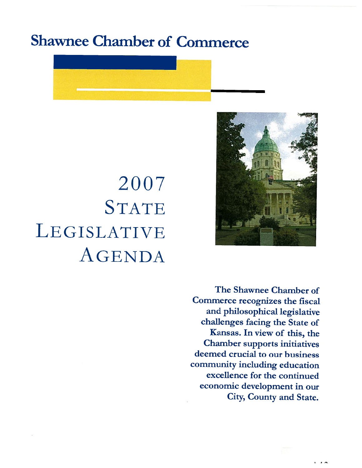# Shawnee Chamber of Commerce



# S TATE 2007 LEGISLATIVE AGENDA

The Shawnee Chamber of Commerce recognizes the fiscal and <sup>p</sup>hilosophical legislative challenges facing the State of Kansas. In view of this, the Chamber supports initiatives deemed crucial to our business community including education excellence for the continued economic development in our City, County and State.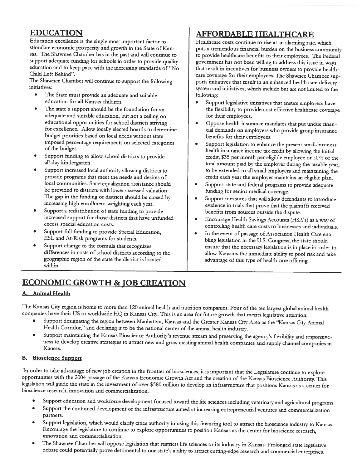#### EDUCATION

Education excellence is the single most important factor to stimulate economic prosperity and growth in the State of Kan sas. The Shawnee Chamber has in the past and will continue to support adequate funding for schools in order to provide quality education and to keep pace with the increasing standards of "No Child Left Behind".

The Shawnee Chamber will continue to support the following initiatives:

- • The State must provide an adequate and suitable education for all Kansas children.
- The state's support should be the foundation for an adequate and suitable education, but not <sup>a</sup> ceiling on educational opportunities for school districts striving for excellence. Allow locally elected boards to determine budget priorities based on local needs without state imposed percentage requirements on selected categories of the budget.
- • Support funding to allow school districts to provide all-day kindergarten.
- • Support increased local authority allowing districts to provide programs that meet the needs and desires of local communities. State equalization assistance should be provided to districts with lower assessed valuation. The gap in the funding of districts should be closed by increasing high enrollment weighting each year.
- Support <sup>a</sup> redistribution of state funding to provide increased support for those districts that have unfunded excess special education costs.
- Support full funding to provide Special Education, ESL and At-Risk programs for students.
- • Support change to the formula that recognizes differences in costs of school districts according to the geographic region of the state the district is located within.

## AFFORDABLE HEALTHCARE

Healthcare costs continue to rise at an alarming rate, which puts <sup>a</sup> tremendous financial burden on the business community to provide healthcare benefits to their employees. The Federal government has not been willing to address this issue in ways that result in incentives for business owners to provide health care coverage for their employees. The Shawnee Chamber sup ports initiatives that result in an enhanced health care delivery system and initiatives, which include but are not limited to the following:

- Support legislative initiatives that ensure employers have the flexibility to provide cost effective healthcare coverage for their employees.
- • Oppose health insurance mandates that put undue finan cial demands on employers who provide group insurance benefits for their employees.
- • Support legislation to enhance the present small-business health insurance income tax credit by allowing the initial credit, \$35 per month per eligible employee or 50% of the total amount paid by the employer during the taxable year, to be extended to all small employers and maintaining the credit each year the employer maintains an eligible plan.
- • Support state and federal programs to provide adequate funding for senior medical coverage.
- • Support measures that will allow defendants to introduce evidence in trials that prove that the <sup>p</sup>laintiffs received benefits from sources outside the dispute.
- Encourage Health Savings Accounts (HSA's) as a way of controlling health care costs to businesses and individuals.
- In the event of passage of Association Health Care ena bling legislation in the U.S. Congress, the state should ensure that the necessary legislation is in <sup>p</sup>lace in order to allow Kansans the immediate ability to pooi risk and take advantage of this type of health care offering.

### ECONOMIC GROWTH & JOB CREATION

#### **Animal Health**

The Kansas City region is home to more than 120 animal health and nutrition companies. Four of the ten largest global animal health companies have their US or worldwide HQ in Kansas City. This is an area for future growth that merits legislative attention:

- •Support designating the region between Manhattan, Kansas and the Greater Kansas City Area as the "Kansas City Animal Health Corridor," and declaring it to be the national center of the animal health industry.
- •Support maintaining the Kansas Bioscience Authority's revenue stream and preserving the agency's flexibility and responsiveness to develop creative strategies to attract new and grow existing animal health companies and supply channel companies in Kansas.

#### B. Bioscience Support

In order to take advantage of new job creation in the frontier of biosciences, it is important that the Legislature continue to explore<br>opportunities with the 2004 passage of the Kansas Economic Growth Act and the creation bioscience research, innovation and commercialization.

- •Support education and workforce development focused toward the life sciences including veterinary and agricultural programs.
- • Support the continued development of the infrastructure aimed at increasing entrepreneurial ventures and commercialization partners.
- •Support legislation, which would clarify cities authority in using this financing tool to attract the bioscience industry to Kansas.<br>Encourage the legislature to continue to explore opportunities to position Kansas as the innovation and commercialization.
- •The Shawnee Chamber will oppose legislation that restricts life sciences or its industry in Kansas. Prolonged state legislative debate could potentially prove detrimental to our state's ability to attract cutting-edge rese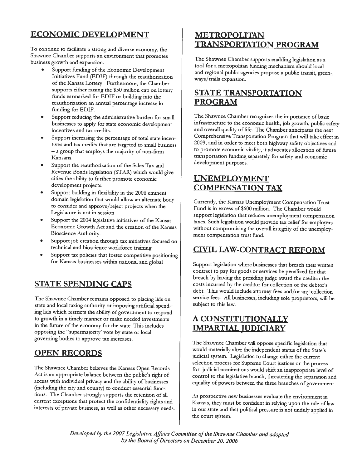### ECONOMIC DEVELOPMENT

To continue to facilitate <sup>a</sup> strong and diverse economy, the Shawnee Chamber supports an environment that promotes business growth and expansion.

- Support funding of the Economic Development Initiatives Fund (EDIF) through the reauthorization of the Kansas Lottery. Furthermore, the Chamber supports either raising the \$50 million cap on lottery funds earmarked for EDIF or building into the reauthorization an annual percentage increase in funding for EDIF.
- • Support reducing the administrative burden for small businesses to apply for state economic development incentives and tax credits.
- • Support increasing the percentage of total state incen tives and tax credits that are targeted to small business — <sup>a</sup> group that employs the majority of non farm Kansans.
- • Support the reauthorization of the Sales Tax and Revenue Bonds legislation (STAR) which would <sup>g</sup>ive cities the ability to further promote economic development projects.
- Support building in flexibility in the 2006 eminent domain legislation that would allow an alternate body to consider and approve/reject projects when the Legislature is not in session.
- Support the 2004 legislative initiatives of the Kansas Economic Growth Act and the creation of the Kansas Bioscience Authority.
- • Support job creation through tax initiatives focused on technical and bioscience workforce training.
- Support tax policies that foster competitive positioning for Kansas businesses within national and <sup>g</sup>lobal

### STATE SPENDING CAPS

The Shawnee Chamber remains opposed to <sup>p</sup>lacing lids on state and local taxing authority or imposing artificial spend ing lids which restricts the ability of government to respond to growth in <sup>a</sup> timely manner or make needed investments in the future of the economy for the state. This includes opposing the "supermajority' vote by state or local governing bodies to approve tax increases.

### OPEN RECORDS

The Shawnee Chamber believes the Kansas Open Records Act is an appropriate balance between the public's right of access with individual privacy and the ability of businesses (including the city and county) to conduct essential func tions. The Chamber strongly supports the retention of all current exceptions that protect the confidentiality rights and interests of private business, as well as other necessary needs.

#### METROPOLITAN TRANSPORTATION PROGRAM

The Shawnee Chamber supports enabling legislation as <sup>a</sup> tool for <sup>a</sup> metropolitan funding mechanism should local and regional public agencies propose <sup>a</sup> public transit, green ways/trails expansion.

#### STATE TRANSPORTATION PROGRAM

The Shawnee Chamber recognizes the importance of basic infrastructure to the economic health, job growth, public safety and overall quality of life. The Chamber anticipates the next Comprehensive Transportation Program that will take effect in 2009, and in order to meet both highway safety objectives and to promote economic vitality, it advocates allocation of future transportation funding separately for safety and economic development purposes.

#### UNEMPLOYMENT COMPENSATION TAX

Currently, the Kansas Unemplo) ment Compensation Trust Fund is in excess of \$600 million. The Chamber would support legislation that reduces unemployment compensation taxes. Such legislation would provide tax relief for employers without compromising the overall integrity of the unemploy ment compensation trust fund.

#### CIVIL LAW-CONTRACT REFORM

Support legislation where businesses that breach their written contract to pay for goods or services be penalized for that breach by having the presiding judge award the creditor the costs incurred by the creditor for collection of the debtor's debt. This would include attorney fees and/or any collection service fees. All businesses, including sole proprietors, will be subject to this law.

#### A CONSTITUTIONALLY IMPARTIAL JUDICIARY

The Shawnee Chamber will oppose specific legislation that would materially alter the independent status of the State's judicial system. Legislation to change either the current selection process for Supreme Court justices or the process for judicial nominations would shift an inappropriate level of control to the legislative branch, threatening the separation and equality of powers between the three branches of government.

As prospective new businesses evaluate the environment in Kansas, they must be confident in relying upon the rule of law in our state and that political pressure is not unduly applied in the court system.

Developed by the 2007 Legislative Affairs Committee of the Shawnee Chamber and adopted by the Board of Directors on December 20, 2006